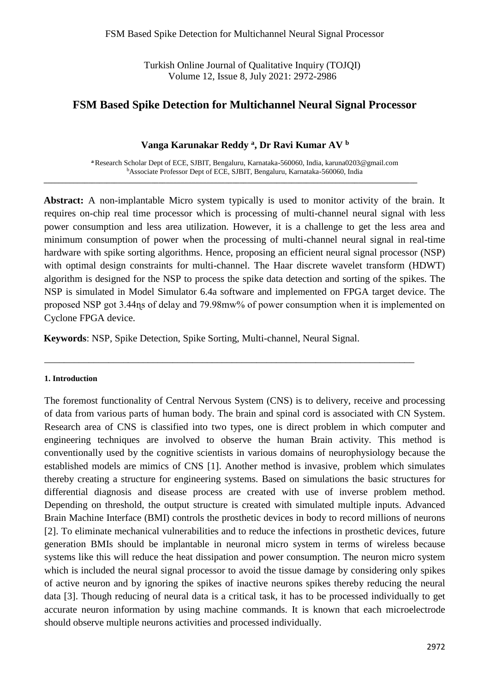Turkish Online Journal of Qualitative Inquiry (TOJQI) Volume 12, Issue 8, July 2021: 2972-2986

# **FSM Based Spike Detection for Multichannel Neural Signal Processor**

#### **Vanga Karunakar Reddy <sup>a</sup> , Dr Ravi Kumar AV <sup>b</sup>**

**<sup>a</sup>**Research Scholar Dept of ECE, SJBIT, Bengaluru, Karnataka-560060, India, karuna0203@gmail.com <sup>b</sup>Associate Professor Dept of ECE, SJBIT, Bengaluru, Karnataka-560060, India

**\_\_\_\_\_\_\_\_\_\_\_\_\_\_\_\_\_\_\_\_\_\_\_\_\_\_\_\_\_\_\_\_\_\_\_\_\_\_\_\_\_\_\_\_\_\_\_\_\_\_\_\_\_\_\_\_\_\_\_\_\_\_\_\_\_\_\_\_\_\_\_\_\_\_\_\_\_\_\_\_\_\_\_\_\_\_\_\_\_\_\_\_\_\_\_\_\_\_\_\_\_**

**Abstract:** A non-implantable Micro system typically is used to monitor activity of the brain. It requires on-chip real time processor which is processing of multi-channel neural signal with less power consumption and less area utilization. However, it is a challenge to get the less area and minimum consumption of power when the processing of multi-channel neural signal in real-time hardware with spike sorting algorithms. Hence, proposing an efficient neural signal processor (NSP) with optimal design constraints for multi-channel. The Haar discrete wavelet transform (HDWT) algorithm is designed for the NSP to process the spike data detection and sorting of the spikes. The NSP is simulated in Model Simulator 6.4a software and implemented on FPGA target device. The proposed NSP got 3.44ɳs of delay and 79.98mw% of power consumption when it is implemented on Cyclone FPGA device.

**Keywords**: NSP, Spike Detection, Spike Sorting, Multi-channel, Neural Signal.

\_\_\_\_\_\_\_\_\_\_\_\_\_\_\_\_\_\_\_\_\_\_\_\_\_\_\_\_\_\_\_\_\_\_\_\_\_\_\_\_\_\_\_\_\_\_\_\_\_\_\_\_\_\_\_\_\_\_\_\_\_\_\_\_\_\_\_\_\_\_\_\_\_\_\_

#### **1. Introduction**

The foremost functionality of Central Nervous System (CNS) is to delivery, receive and processing of data from various parts of human body. The brain and spinal cord is associated with CN System. Research area of CNS is classified into two types, one is direct problem in which computer and engineering techniques are involved to observe the human Brain activity. This method is conventionally used by the cognitive scientists in various domains of neurophysiology because the established models are mimics of CNS [1]. Another method is invasive, problem which simulates thereby creating a structure for engineering systems. Based on simulations the basic structures for differential diagnosis and disease process are created with use of inverse problem method. Depending on threshold, the output structure is created with simulated multiple inputs. Advanced Brain Machine Interface (BMI) controls the prosthetic devices in body to record millions of neurons [2]. To eliminate mechanical vulnerabilities and to reduce the infections in prosthetic devices, future generation BMIs should be implantable in neuronal micro system in terms of wireless because systems like this will reduce the heat dissipation and power consumption. The neuron micro system which is included the neural signal processor to avoid the tissue damage by considering only spikes of active neuron and by ignoring the spikes of inactive neurons spikes thereby reducing the neural data [3]. Though reducing of neural data is a critical task, it has to be processed individually to get accurate neuron information by using machine commands. It is known that each microelectrode should observe multiple neurons activities and processed individually.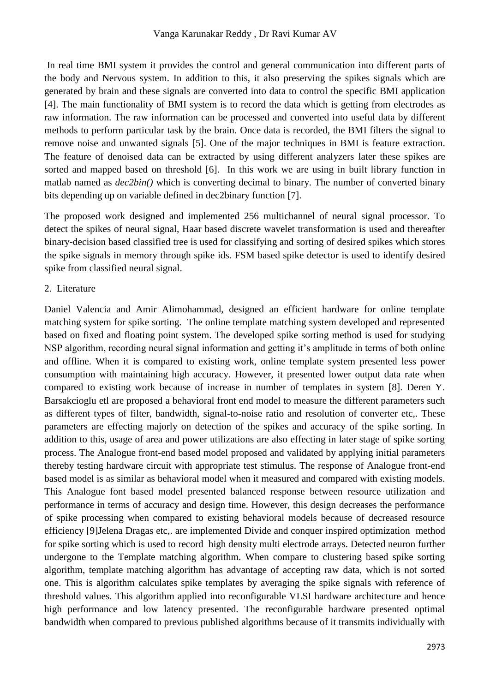In real time BMI system it provides the control and general communication into different parts of the body and Nervous system. In addition to this, it also preserving the spikes signals which are generated by brain and these signals are converted into data to control the specific BMI application [4]. The main functionality of BMI system is to record the data which is getting from electrodes as raw information. The raw information can be processed and converted into useful data by different methods to perform particular task by the brain. Once data is recorded, the BMI filters the signal to remove noise and unwanted signals [5]. One of the major techniques in BMI is feature extraction. The feature of denoised data can be extracted by using different analyzers later these spikes are sorted and mapped based on threshold [6]. In this work we are using in built library function in matlab named as *dec2bin()* which is converting decimal to binary. The number of converted binary bits depending up on variable defined in dec2binary function [7].

The proposed work designed and implemented 256 multichannel of neural signal processor. To detect the spikes of neural signal, Haar based discrete wavelet transformation is used and thereafter binary-decision based classified tree is used for classifying and sorting of desired spikes which stores the spike signals in memory through spike ids. FSM based spike detector is used to identify desired spike from classified neural signal.

#### 2. Literature

Daniel Valencia and Amir Alimohammad, designed an efficient hardware for online template matching system for spike sorting. The online template matching system developed and represented based on fixed and floating point system. The developed spike sorting method is used for studying NSP algorithm, recording neural signal information and getting it's amplitude in terms of both online and offline. When it is compared to existing work, online template system presented less power consumption with maintaining high accuracy. However, it presented lower output data rate when compared to existing work because of increase in number of templates in system [8]. Deren Y. Barsakcioglu etl are proposed a behavioral front end model to measure the different parameters such as different types of filter, bandwidth, signal-to-noise ratio and resolution of converter etc,. These parameters are effecting majorly on detection of the spikes and accuracy of the spike sorting. In addition to this, usage of area and power utilizations are also effecting in later stage of spike sorting process. The Analogue front-end based model proposed and validated by applying initial parameters thereby testing hardware circuit with appropriate test stimulus. The response of Analogue front-end based model is as similar as behavioral model when it measured and compared with existing models. This Analogue font based model presented balanced response between resource utilization and performance in terms of accuracy and design time. However, this design decreases the performance of spike processing when compared to existing behavioral models because of decreased resource efficiency [9]Jelena Dragas etc,. are implemented Divide and conquer inspired optimization method for spike sorting which is used to record high density multi electrode arrays. Detected neuron further undergone to the Template matching algorithm. When compare to clustering based spike sorting algorithm, template matching algorithm has advantage of accepting raw data, which is not sorted one. This is algorithm calculates spike templates by averaging the spike signals with reference of threshold values. This algorithm applied into reconfigurable VLSI hardware architecture and hence high performance and low latency presented. The reconfigurable hardware presented optimal bandwidth when compared to previous published algorithms because of it transmits individually with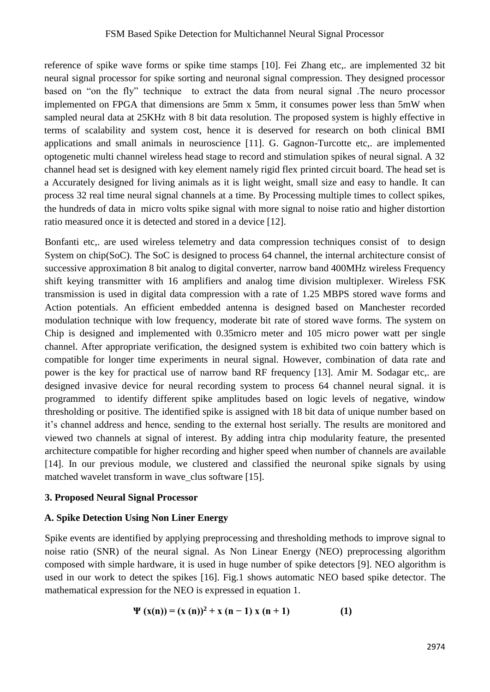reference of spike wave forms or spike time stamps [10]. Fei Zhang etc,. are implemented 32 bit neural signal processor for spike sorting and neuronal signal compression. They designed processor based on "on the fly" technique to extract the data from neural signal .The neuro processor implemented on FPGA that dimensions are 5mm x 5mm, it consumes power less than 5mW when sampled neural data at 25KHz with 8 bit data resolution. The proposed system is highly effective in terms of scalability and system cost, hence it is deserved for research on both clinical BMI applications and small animals in neuroscience [11]. G. Gagnon-Turcotte etc,. are implemented optogenetic multi channel wireless head stage to record and stimulation spikes of neural signal. A 32 channel head set is designed with key element namely rigid flex printed circuit board. The head set is a Accurately designed for living animals as it is light weight, small size and easy to handle. It can process 32 real time neural signal channels at a time. By Processing multiple times to collect spikes, the hundreds of data in micro volts spike signal with more signal to noise ratio and higher distortion ratio measured once it is detected and stored in a device [12].

Bonfanti etc,. are used wireless telemetry and data compression techniques consist of to design System on chip(SoC). The SoC is designed to process 64 channel, the internal architecture consist of successive approximation 8 bit analog to digital converter, narrow band 400MHz wireless Frequency shift keying transmitter with 16 amplifiers and analog time division multiplexer. Wireless FSK transmission is used in digital data compression with a rate of 1.25 MBPS stored wave forms and Action potentials. An efficient embedded antenna is designed based on Manchester recorded modulation technique with low frequency, moderate bit rate of stored wave forms. The system on Chip is designed and implemented with 0.35micro meter and 105 micro power watt per single channel. After appropriate verification, the designed system is exhibited two coin battery which is compatible for longer time experiments in neural signal. However, combination of data rate and power is the key for practical use of narrow band RF frequency [13]. Amir M. Sodagar etc,. are designed invasive device for neural recording system to process 64 channel neural signal. it is programmed to identify different spike amplitudes based on logic levels of negative, window thresholding or positive. The identified spike is assigned with 18 bit data of unique number based on it's channel address and hence, sending to the external host serially. The results are monitored and viewed two channels at signal of interest. By adding intra chip modularity feature, the presented architecture compatible for higher recording and higher speed when number of channels are available [14]. In our previous module, we clustered and classified the neuronal spike signals by using matched wavelet transform in wave\_clus software [15].

# **3. Proposed Neural Signal Processor**

# **A. Spike Detection Using Non Liner Energy**

Spike events are identified by applying preprocessing and thresholding methods to improve signal to noise ratio (SNR) of the neural signal. As Non Linear Energy (NEO) preprocessing algorithm composed with simple hardware, it is used in huge number of spike detectors [9]. NEO algorithm is used in our work to detect the spikes [16]. Fig.1 shows automatic NEO based spike detector. The mathematical expression for the NEO is expressed in equation 1.

$$
\Psi(x(n)) = (x(n))^{2} + x(n-1)x(n+1)
$$
 (1)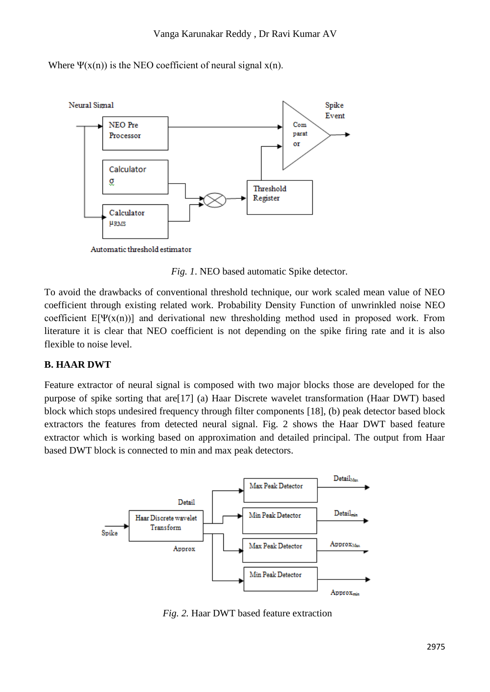Where  $\Psi(x(n))$  is the NEO coefficient of neural signal  $x(n)$ .



Automatic threshold estimator

*Fig. 1*. NEO based automatic Spike detector.

To avoid the drawbacks of conventional threshold technique, our work scaled mean value of NEO coefficient through existing related work. Probability Density Function of unwrinkled noise NEO coefficient  $E[\Psi(x(n))]$  and derivational new thresholding method used in proposed work. From literature it is clear that NEO coefficient is not depending on the spike firing rate and it is also flexible to noise level.

# **B. HAAR DWT**

Feature extractor of neural signal is composed with two major blocks those are developed for the purpose of spike sorting that are[17] (a) Haar Discrete wavelet transformation (Haar DWT) based block which stops undesired frequency through filter components [18], (b) peak detector based block extractors the features from detected neural signal. Fig. 2 shows the Haar DWT based feature extractor which is working based on approximation and detailed principal. The output from Haar based DWT block is connected to min and max peak detectors.



*Fig. 2.* Haar DWT based feature extraction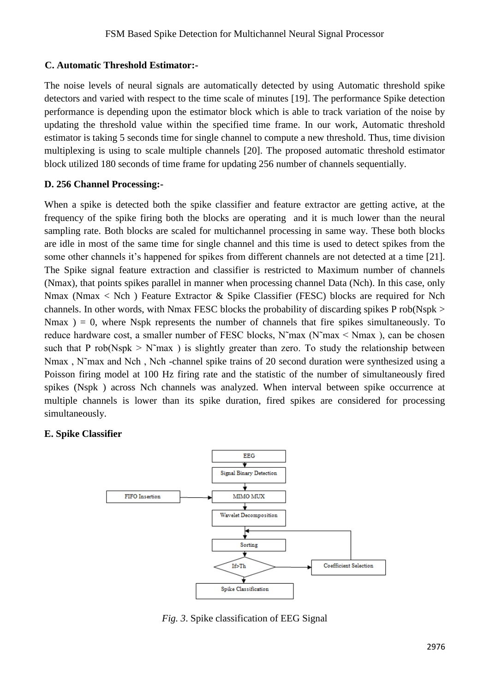# **C. Automatic Threshold Estimator:-**

The noise levels of neural signals are automatically detected by using Automatic threshold spike detectors and varied with respect to the time scale of minutes [19]. The performance Spike detection performance is depending upon the estimator block which is able to track variation of the noise by updating the threshold value within the specified time frame. In our work, Automatic threshold estimator is taking 5 seconds time for single channel to compute a new threshold. Thus, time division multiplexing is using to scale multiple channels [20]. The proposed automatic threshold estimator block utilized 180 seconds of time frame for updating 256 number of channels sequentially.

#### **D. 256 Channel Processing:-**

When a spike is detected both the spike classifier and feature extractor are getting active, at the frequency of the spike firing both the blocks are operating and it is much lower than the neural sampling rate. Both blocks are scaled for multichannel processing in same way. These both blocks are idle in most of the same time for single channel and this time is used to detect spikes from the some other channels it's happened for spikes from different channels are not detected at a time [21]. The Spike signal feature extraction and classifier is restricted to Maximum number of channels (Nmax), that points spikes parallel in manner when processing channel Data (Nch). In this case, only Nmax (Nmax < Nch ) Feature Extractor & Spike Classifier (FESC) blocks are required for Nch channels. In other words, with Nmax FESC blocks the probability of discarding spikes P rob(Nspk > Nmax  $= 0$ , where Nspk represents the number of channels that fire spikes simultaneously. To reduce hardware cost, a smaller number of FESC blocks, N˜max (N˜max < Nmax ), can be chosen such that P rob(Nspk  $> N<sup>+</sup>$  max ) is slightly greater than zero. To study the relationship between Nmax , N˜max and Nch , Nch -channel spike trains of 20 second duration were synthesized using a Poisson firing model at 100 Hz firing rate and the statistic of the number of simultaneously fired spikes (Nspk ) across Nch channels was analyzed. When interval between spike occurrence at multiple channels is lower than its spike duration, fired spikes are considered for processing simultaneously.

# **E. Spike Classifier**



*Fig. 3*. Spike classification of EEG Signal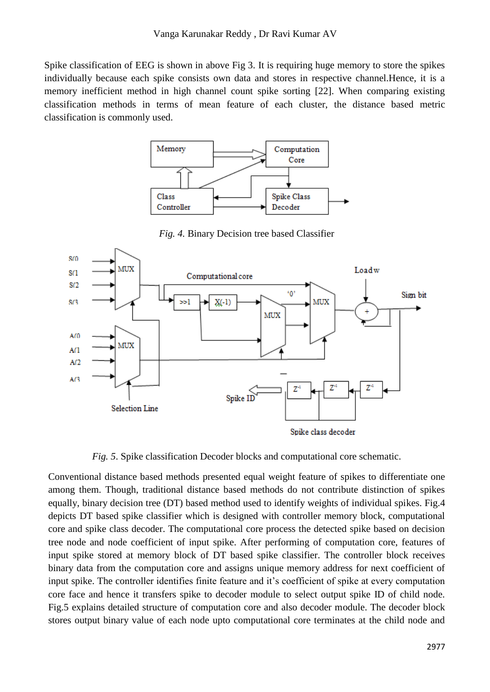Spike classification of EEG is shown in above Fig 3. It is requiring huge memory to store the spikes individually because each spike consists own data and stores in respective channel.Hence, it is a memory inefficient method in high channel count spike sorting [22]. When comparing existing classification methods in terms of mean feature of each cluster, the distance based metric classification is commonly used.



*Fig. 4.* Binary Decision tree based Classifier



*Fig. 5*. Spike classification Decoder blocks and computational core schematic.

Conventional distance based methods presented equal weight feature of spikes to differentiate one among them. Though, traditional distance based methods do not contribute distinction of spikes equally, binary decision tree (DT) based method used to identify weights of individual spikes. Fig.4 depicts DT based spike classifier which is designed with controller memory block, computational core and spike class decoder. The computational core process the detected spike based on decision tree node and node coefficient of input spike. After performing of computation core, features of input spike stored at memory block of DT based spike classifier. The controller block receives binary data from the computation core and assigns unique memory address for next coefficient of input spike. The controller identifies finite feature and it's coefficient of spike at every computation core face and hence it transfers spike to decoder module to select output spike ID of child node. Fig.5 explains detailed structure of computation core and also decoder module. The decoder block stores output binary value of each node upto computational core terminates at the child node and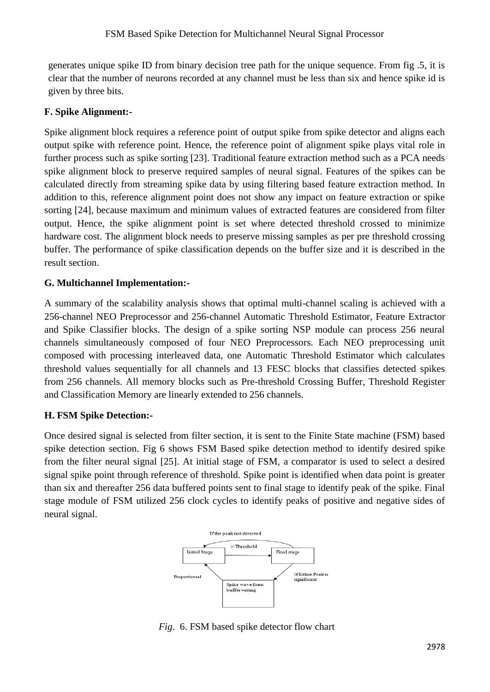generates unique spike ID from binary decision tree path for the unique sequence. From fig .5, it is clear that the number of neurons recorded at any channel must be less than six and hence spike id is given by three bits.

# **F. Spike Alignment:-**

Spike alignment block requires a reference point of output spike from spike detector and aligns each output spike with reference point. Hence, the reference point of alignment spike plays vital role in further process such as spike sorting [23]. Traditional feature extraction method such as a PCA needs spike alignment block to preserve required samples of neural signal. Features of the spikes can be calculated directly from streaming spike data by using filtering based feature extraction method. In addition to this, reference alignment point does not show any impact on feature extraction or spike sorting [24], because maximum and minimum values of extracted features are considered from filter output. Hence, the spike alignment point is set where detected threshold crossed to minimize hardware cost. The alignment block needs to preserve missing samples as per pre threshold crossing buffer. The performance of spike classification depends on the buffer size and it is described in the result section.

# **G. Multichannel Implementation:-**

A summary of the scalability analysis shows that optimal multi-channel scaling is achieved with a 256-channel NEO Preprocessor and 256-channel Automatic Threshold Estimator, Feature Extractor and Spike Classifier blocks. The design of a spike sorting NSP module can process 256 neural channels simultaneously composed of four NEO Preprocessors. Each NEO preprocessing unit composed with processing interleaved data, one Automatic Threshold Estimator which calculates threshold values sequentially for all channels and 13 FESC blocks that classifies detected spikes from 256 channels. All memory blocks such as Pre-threshold Crossing Buffer, Threshold Register and Classification Memory are linearly extended to 256 channels.

# **H. FSM Spike Detection:-**

Once desired signal is selected from filter section, it is sent to the Finite State machine (FSM) based spike detection section. Fig 6 shows FSM Based spike detection method to identify desired spike from the filter neural signal [25]. At initial stage of FSM, a comparator is used to select a desired signal spike point through reference of threshold. Spike point is identified when data point is greater than six and thereafter 256 data buffered points sent to final stage to identify peak of the spike. Final stage module of FSM utilized 256 clock cycles to identify peaks of positive and negative sides of neural signal.



*Fig*. 6. FSM based spike detector flow chart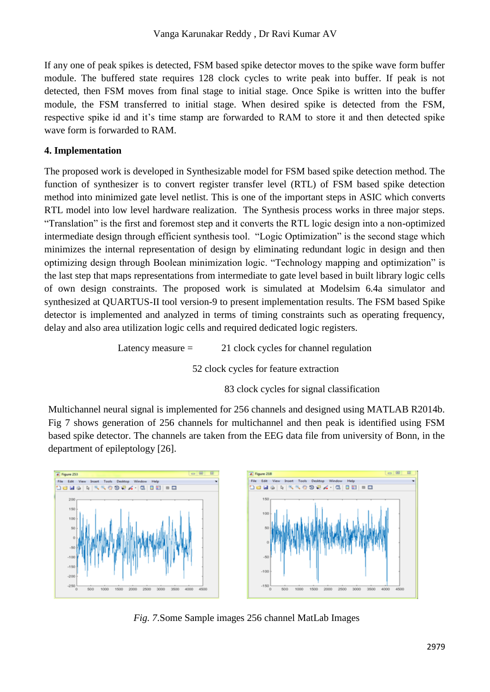If any one of peak spikes is detected, FSM based spike detector moves to the spike wave form buffer module. The buffered state requires 128 clock cycles to write peak into buffer. If peak is not detected, then FSM moves from final stage to initial stage. Once Spike is written into the buffer module, the FSM transferred to initial stage. When desired spike is detected from the FSM, respective spike id and it's time stamp are forwarded to RAM to store it and then detected spike wave form is forwarded to RAM.

# **4. Implementation**

The proposed work is developed in Synthesizable model for FSM based spike detection method. The function of synthesizer is to convert register transfer level (RTL) of FSM based spike detection method into minimized gate level netlist. This is one of the important steps in ASIC which converts RTL model into low level hardware realization. The Synthesis process works in three major steps. "Translation" is the first and foremost step and it converts the RTL logic design into a non-optimized intermediate design through efficient synthesis tool. "Logic Optimization" is the second stage which minimizes the internal representation of design by eliminating redundant logic in design and then optimizing design through Boolean minimization logic. "Technology mapping and optimization" is the last step that maps representations from intermediate to gate level based in built library logic cells of own design constraints. The proposed work is simulated at Modelsim 6.4a simulator and synthesized at QUARTUS-II tool version-9 to present implementation results. The FSM based Spike detector is implemented and analyzed in terms of timing constraints such as operating frequency, delay and also area utilization logic cells and required dedicated logic registers.

Latency measure  $=$  21 clock cycles for channel regulation

52 clock cycles for feature extraction

83 clock cycles for signal classification

Multichannel neural signal is implemented for 256 channels and designed using MATLAB R2014b. Fig 7 shows generation of 256 channels for multichannel and then peak is identified using FSM based spike detector. The channels are taken from the EEG data file from university of Bonn, in the department of epileptology [26].



*Fig. 7*.Some Sample images 256 channel MatLab Images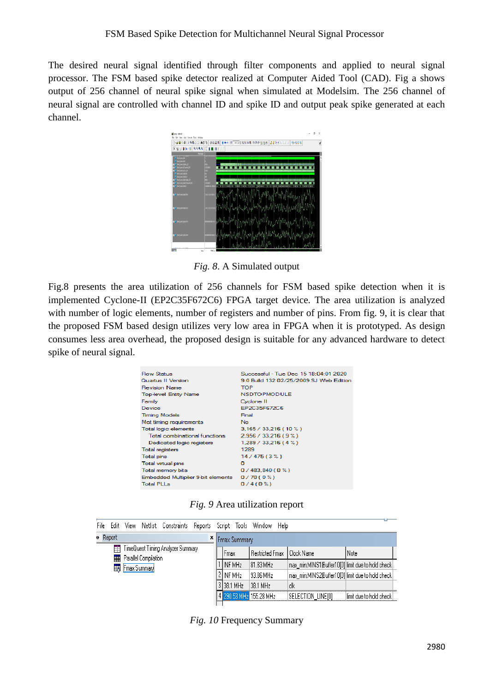The desired neural signal identified through filter components and applied to neural signal processor. The FSM based spike detector realized at Computer Aided Tool (CAD). Fig a shows output of 256 channel of neural spike signal when simulated at Modelsim. The 256 channel of neural signal are controlled with channel ID and spike ID and output peak spike generated at each channel.



*Fig. 8*. A Simulated output

Fig.8 presents the area utilization of 256 channels for FSM based spike detection when it is implemented Cyclone-II (EP2C35F672C6) FPGA target device. The area utilization is analyzed with number of logic elements, number of registers and number of pins. From fig. 9, it is clear that the proposed FSM based design utilizes very low area in FPGA when it is prototyped. As design consumes less area overhead, the proposed design is suitable for any advanced hardware to detect spike of neural signal.

| Successful - Tue Dec 15 18:04:01 2020          |
|------------------------------------------------|
| 9.0 Build 132.02/25/2009 SJ Web Edition        |
| <b>TOP</b>                                     |
| <b>NSDTOPMODULE</b>                            |
| Cyclone II                                     |
| EP2C35F672C6                                   |
| Final                                          |
| No.                                            |
| 3.165 / 33.216 (10 %)                          |
| $2.956 / 33.216 (9 \%)$                        |
| 1,289/33,216(4%)                               |
| 1289                                           |
| 14/475(3%)                                     |
| o                                              |
| 0/483,840(0%)                                  |
| Embedded Multiplier 9-bit elements<br>0/70(0%) |
| 0/4(0%)                                        |
|                                                |

*Fig. 9* Area utilization report

|                                 | File Edit | View                                             |  | Netlist Constraints Reports Script Tools Window |  |                       |                         | Help                                              |                                                   |                         |
|---------------------------------|-----------|--------------------------------------------------|--|-------------------------------------------------|--|-----------------------|-------------------------|---------------------------------------------------|---------------------------------------------------|-------------------------|
| Report<br><b>x</b> Fmax Summary |           |                                                  |  |                                                 |  |                       |                         |                                                   |                                                   |                         |
|                                 | ÷         |                                                  |  | TimeQuest Timing Analyzer Summary               |  |                       | Fmax                    | Restricted Fmax                                   | l Clock Name                                      | Note                    |
|                                 |           | <b>Fig.</b> Parallel Compilation<br>Fmax Summary |  |                                                 |  |                       | INF MHz                 | 81.83 MHz                                         | max_min:MINS1 Buffer10[0] limit due to hold check |                         |
|                                 |           |                                                  |  |                                                 |  | 2 INF MH <sub>z</sub> | 93.86 MHz               | max_min:MINS2 Buffer10[0] limit due to hold check |                                                   |                         |
|                                 |           |                                                  |  |                                                 |  |                       | 3 38.1 MHz              | 38.1 MHz                                          | clk                                               |                         |
|                                 |           |                                                  |  |                                                 |  |                       | 4 290.53 MHz 155.28 MHz |                                                   | SELECTION LINEIOI                                 | Himit due to hold check |
|                                 |           |                                                  |  |                                                 |  |                       |                         |                                                   |                                                   |                         |

*Fig. 10* Frequency Summary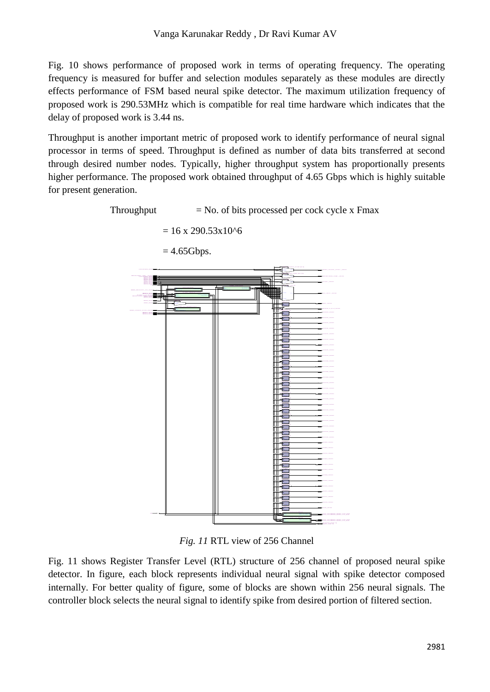Fig. 10 shows performance of proposed work in terms of operating frequency. The operating frequency is measured for buffer and selection modules separately as these modules are directly effects performance of FSM based neural spike detector. The maximum utilization frequency of proposed work is 290.53MHz which is compatible for real time hardware which indicates that the delay of proposed work is 3.44 ns.

Throughput is another important metric of proposed work to identify performance of neural signal processor in terms of speed. Throughput is defined as number of data bits transferred at second through desired number nodes. Typically, higher throughput system has proportionally presents higher performance. The proposed work obtained throughput of 4.65 Gbps which is highly suitable for present generation.



*Fig. 11* RTL view of 256 Channel

Fig. 11 shows Register Transfer Level (RTL) structure of 256 channel of proposed neural spike detector. In figure, each block represents individual neural signal with spike detector composed internally. For better quality of figure, some of blocks are shown within 256 neural signals. The controller block selects the neural signal to identify spike from desired portion of filtered section.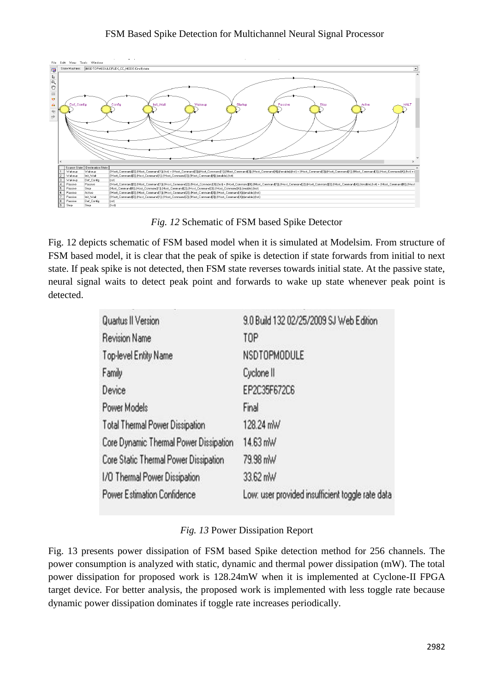#### FSM Based Spike Detection for Multichannel Neural Signal Processor



*Fig. 12* Schematic of FSM based Spike Detector

Fig. 12 depicts schematic of FSM based model when it is simulated at Modelsim. From structure of FSM based model, it is clear that the peak of spike is detection if state forwards from initial to next state. If peak spike is not detected, then FSM state reverses towards initial state. At the passive state, neural signal waits to detect peak point and forwards to wake up state whenever peak point is detected.

| Quartus II Version                     | 9.0 Build 132 02/25/2009 SJ Web Edition          |
|----------------------------------------|--------------------------------------------------|
| <b>Revision Name</b>                   | TOP                                              |
| Top-level Entity Name                  | NSDTOPMODULE                                     |
| Family                                 | Cyclone II                                       |
| Device                                 | EP2C35F672C6                                     |
| Power Models                           | Final                                            |
| Total Thermal Power Dissipation        | 128.24 mW                                        |
| Core Dynamic Thermal Power Dissipation | 14.63 mW                                         |
| Core Static Thermal Power Dissipation  | 79.98 mW                                         |
| 1/0 Thermal Power Dissipation          | 33.62 mW                                         |
| Power Estimation Confidence            | Low: user provided insufficient toggle rate data |

# *Fig. 13* Power Dissipation Report

Fig. 13 presents power dissipation of FSM based Spike detection method for 256 channels. The power consumption is analyzed with static, dynamic and thermal power dissipation (mW). The total power dissipation for proposed work is 128.24mW when it is implemented at Cyclone-II FPGA target device. For better analysis, the proposed work is implemented with less toggle rate because dynamic power dissipation dominates if toggle rate increases periodically.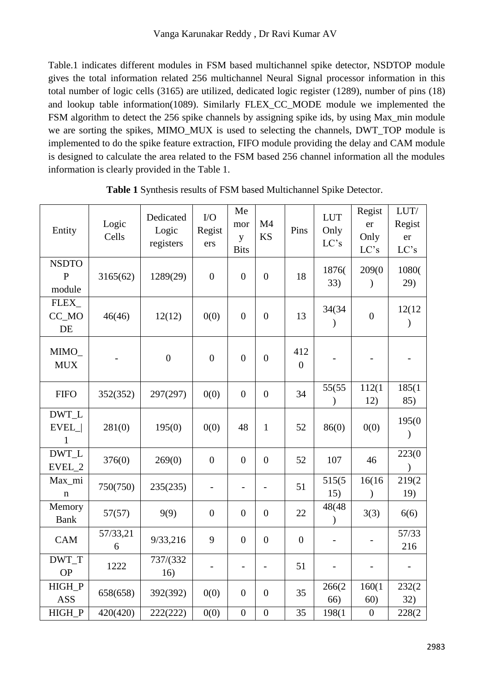Table.1 indicates different modules in FSM based multichannel spike detector, NSDTOP module gives the total information related 256 multichannel Neural Signal processor information in this total number of logic cells (3165) are utilized, dedicated logic register (1289), number of pins (18) and lookup table information(1089). Similarly FLEX\_CC\_MODE module we implemented the FSM algorithm to detect the 256 spike channels by assigning spike ids, by using Max\_min module we are sorting the spikes, MIMO\_MUX is used to selecting the channels, DWT\_TOP module is implemented to do the spike feature extraction, FIFO module providing the delay and CAM module is designed to calculate the area related to the FSM based 256 channel information all the modules information is clearly provided in the Table 1.

| Entity                                 | Logic<br>Cells | Dedicated<br>Logic<br>registers | $\rm LO$<br>Regist<br>ers | Me<br>mor<br>y<br><b>Bits</b> | M4<br><b>KS</b>          | Pins                    | <b>LUT</b><br>Only<br>LC's | Regist<br>er<br>Only<br>LC's | LUT/<br>Regist<br>er<br>LC's |
|----------------------------------------|----------------|---------------------------------|---------------------------|-------------------------------|--------------------------|-------------------------|----------------------------|------------------------------|------------------------------|
| <b>NSDTO</b><br>$\mathbf{P}$<br>module | 3165(62)       | 1289(29)                        | $\boldsymbol{0}$          | $\overline{0}$                | $\boldsymbol{0}$         | 18                      | 1876(<br>33)               | 209(0<br>$\mathcal{E}$       | 1080(<br>29)                 |
| FLEX_<br>CC_MO<br>DE                   | 46(46)         | 12(12)                          | 0(0)                      | $\overline{0}$                | $\overline{0}$           | 13                      | 34(34<br>$\mathcal{E}$     | $\boldsymbol{0}$             | 12(12<br>$\mathcal{E}$       |
| MIMO<br><b>MUX</b>                     |                | $\boldsymbol{0}$                | $\overline{0}$            | $\boldsymbol{0}$              | $\boldsymbol{0}$         | 412<br>$\boldsymbol{0}$ |                            |                              |                              |
| <b>FIFO</b>                            | 352(352)       | 297(297)                        | 0(0)                      | $\boldsymbol{0}$              | $\boldsymbol{0}$         | 34                      | 55(55<br>$\lambda$         | 112(1<br>12)                 | 185(1<br>85)                 |
| DWT_L<br>EVEL_ <br>$\mathbf{1}$        | 281(0)         | 195(0)                          | 0(0)                      | 48                            | $\mathbf{1}$             | 52                      | 86(0)                      | 0(0)                         | 195(0<br>$\mathcal{E}$       |
| DWT_L<br>EVEL_2                        | 376(0)         | 269(0)                          | $\boldsymbol{0}$          | $\overline{0}$                | $\boldsymbol{0}$         | 52                      | 107                        | 46                           | 223(0<br>$\mathcal{E}$       |
| Max_mi<br>$\mathbf n$                  | 750(750)       | 235(235)                        | $\overline{\phantom{m}}$  | $\overline{\phantom{0}}$      | $\overline{\phantom{0}}$ | 51                      | 515(5<br>15)               | 16(16)<br>$\mathcal{E}$      | 219(2<br>19)                 |
| Memory<br><b>Bank</b>                  | 57(57)         | 9(9)                            | $\boldsymbol{0}$          | $\boldsymbol{0}$              | $\boldsymbol{0}$         | 22                      | 48(48<br>$\mathcal{E}$     | 3(3)                         | 6(6)                         |
| <b>CAM</b>                             | 57/33,21<br>6  | 9/33,216                        | 9                         | $\boldsymbol{0}$              | $\boldsymbol{0}$         | $\boldsymbol{0}$        | $\overline{\phantom{0}}$   |                              | 57/33<br>216                 |
| DWT_T<br><b>OP</b>                     | 1222           | 737/(332<br>16)                 | $\overline{\phantom{0}}$  | $\overline{\phantom{0}}$      | $\overline{\phantom{0}}$ | 51                      |                            |                              |                              |
| HIGH_P<br><b>ASS</b>                   | 658(658)       | 392(392)                        | 0(0)                      | $\boldsymbol{0}$              | $\overline{0}$           | 35                      | 266(2<br>66)               | 160(1)<br>60)                | 232(2<br>32)                 |
| HIGH_P                                 | 420(420)       | 222(222)                        | 0(0)                      | $\boldsymbol{0}$              | $\boldsymbol{0}$         | 35                      | 198(1                      | $\boldsymbol{0}$             | 228(2                        |

**Table 1** Synthesis results of FSM based Multichannel Spike Detector.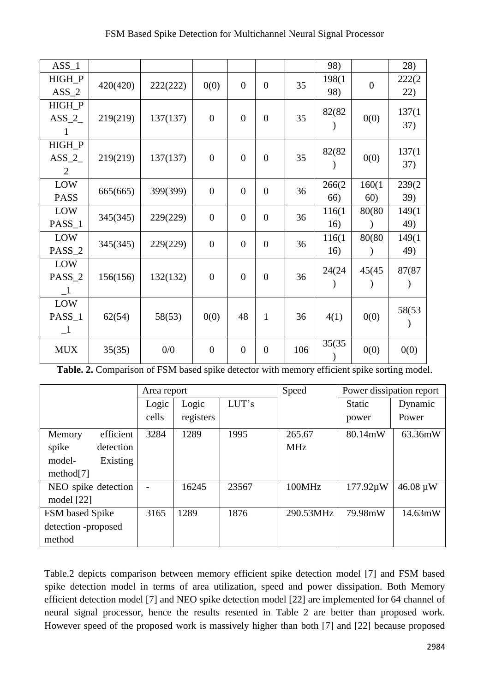| $ASS_1$       |          |          |                  |                |                  |     | 98)    |                | 28)    |
|---------------|----------|----------|------------------|----------------|------------------|-----|--------|----------------|--------|
| HIGH_P        | 420(420) | 222(222) | 0(0)             | $\overline{0}$ | $\overline{0}$   | 35  | 198(1  | $\overline{0}$ | 222(2) |
| $ASS_2$       |          |          |                  |                |                  |     | 98)    |                | 22)    |
| HIGH_P        |          |          |                  |                |                  |     | 82(82  |                | 137(1  |
| $ASS_2_$      | 219(219) | 137(137) | $\overline{0}$   | $\overline{0}$ | $\overline{0}$   | 35  |        | 0(0)           | 37)    |
| 1             |          |          |                  |                |                  |     |        |                |        |
| HIGH_P        |          |          |                  |                |                  |     | 82(82) |                | 137(1  |
| $ASS_2$       | 219(219) | 137(137) | $\overline{0}$   | $\overline{0}$ | $\boldsymbol{0}$ | 35  |        | 0(0)           | 37)    |
| 2             |          |          |                  |                |                  |     |        |                |        |
| LOW           | 665(665) | 399(399) | $\overline{0}$   | $\overline{0}$ | $\boldsymbol{0}$ | 36  | 266(2  | 160(1)         | 239(2  |
| <b>PASS</b>   |          |          |                  |                |                  |     | 66)    | 60)            | 39)    |
| LOW           | 345(345) | 229(229) | $\overline{0}$   | $\overline{0}$ | $\overline{0}$   | 36  | 116(1  | 80(80)         | 149(1  |
| PASS_1        |          |          |                  |                |                  |     | 16)    |                | 49)    |
| LOW           | 345(345) | 229(229) | $\boldsymbol{0}$ | $\overline{0}$ | $\boldsymbol{0}$ | 36  | 116(1) | 80(80          | 149(1  |
| PASS_2        |          |          |                  |                |                  |     | 16)    |                | 49)    |
| LOW           |          |          |                  |                |                  |     | 24(24) | 45(45)         | 87(87  |
| PASS_2        | 156(156) | 132(132) | $\overline{0}$   | $\mathbf{0}$   | $\boldsymbol{0}$ | 36  |        |                |        |
| $\mathbf{-1}$ |          |          |                  |                |                  |     |        |                |        |
| LOW           |          |          |                  |                |                  |     |        |                | 58(53) |
| PASS_1        | 62(54)   | 58(53)   | 0(0)             | 48             | $\mathbf{1}$     | 36  | 4(1)   | 0(0)           |        |
| $-1$          |          |          |                  |                |                  |     |        |                |        |
| <b>MUX</b>    | 35(35)   | 0/0      | $\boldsymbol{0}$ | $\overline{0}$ | $\boldsymbol{0}$ | 106 | 35(35) | 0(0)           | 0(0)   |
|               |          |          |                  |                |                  |     |        |                |        |

|                     | Area report |           |       | Speed      | Power dissipation report |                            |
|---------------------|-------------|-----------|-------|------------|--------------------------|----------------------------|
|                     | Logic       | Logic     | LUT's |            | <b>Static</b>            | Dynamic                    |
|                     | cells       | registers |       |            | power                    | Power                      |
| efficient<br>Memory | 3284        | 1289      | 1995  | 265.67     | 80.14mW                  | 63.36mW                    |
| spike<br>detection  |             |           |       | <b>MHz</b> |                          |                            |
| model-<br>Existing  |             |           |       |            |                          |                            |
| method[7]           |             |           |       |            |                          |                            |
| NEO spike detection |             | 16245     | 23567 | 100MHz     | 177.92µW                 | $46.08 \,\mathrm{\upmu W}$ |
| model $[22]$        |             |           |       |            |                          |                            |
| FSM based Spike     | 3165        | 1289      | 1876  | 290.53MHz  | 79.98mW                  | 14.63mW                    |
| detection -proposed |             |           |       |            |                          |                            |
| method              |             |           |       |            |                          |                            |

**Table. 2.** Comparison of FSM based spike detector with memory efficient spike sorting model.

Table.2 depicts comparison between memory efficient spike detection model [7] and FSM based spike detection model in terms of area utilization, speed and power dissipation. Both Memory efficient detection model [7] and NEO spike detection model [22] are implemented for 64 channel of neural signal processor, hence the results resented in Table 2 are better than proposed work. However speed of the proposed work is massively higher than both [7] and [22] because proposed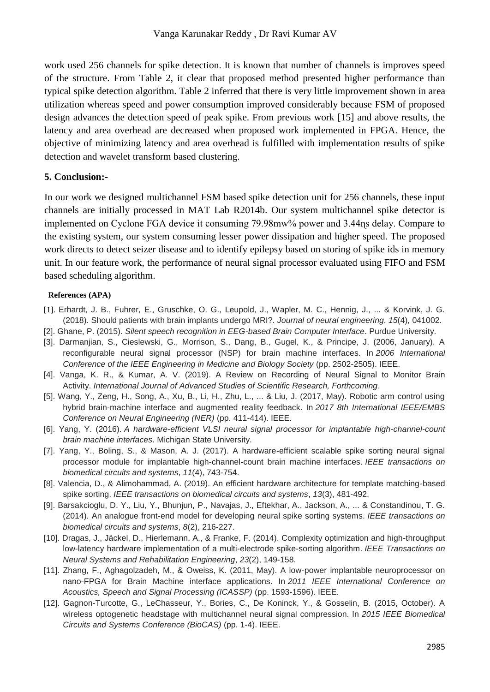work used 256 channels for spike detection. It is known that number of channels is improves speed of the structure. From Table 2, it clear that proposed method presented higher performance than typical spike detection algorithm. Table 2 inferred that there is very little improvement shown in area utilization whereas speed and power consumption improved considerably because FSM of proposed design advances the detection speed of peak spike. From previous work [15] and above results, the latency and area overhead are decreased when proposed work implemented in FPGA. Hence, the objective of minimizing latency and area overhead is fulfilled with implementation results of spike detection and wavelet transform based clustering.

#### **5. Conclusion:-**

In our work we designed multichannel FSM based spike detection unit for 256 channels, these input channels are initially processed in MAT Lab R2014b. Our system multichannel spike detector is implemented on Cyclone FGA device it consuming 79.98mw% power and 3.44ɳs delay. Compare to the existing system, our system consuming lesser power dissipation and higher speed. The proposed work directs to detect seizer disease and to identify epilepsy based on storing of spike ids in memory unit. In our feature work, the performance of neural signal processor evaluated using FIFO and FSM based scheduling algorithm.

#### **References (APA)**

- [1]. Erhardt, J. B., Fuhrer, E., Gruschke, O. G., Leupold, J., Wapler, M. C., Hennig, J., ... & Korvink, J. G. (2018). Should patients with brain implants undergo MRI?. *Journal of neural engineering*, *15*(4), 041002.
- [2]. Ghane, P. (2015). *Silent speech recognition in EEG-based Brain Computer Interface*. Purdue University.
- [3]. Darmanjian, S., Cieslewski, G., Morrison, S., Dang, B., Gugel, K., & Principe, J. (2006, January). A reconfigurable neural signal processor (NSP) for brain machine interfaces. In *2006 International Conference of the IEEE Engineering in Medicine and Biology Society* (pp. 2502-2505). IEEE.
- [4]. Vanga, K. R., & Kumar, A. V. (2019). A Review on Recording of Neural Signal to Monitor Brain Activity. *International Journal of Advanced Studies of Scientific Research, Forthcoming*.
- [5]. Wang, Y., Zeng, H., Song, A., Xu, B., Li, H., Zhu, L., ... & Liu, J. (2017, May). Robotic arm control using hybrid brain-machine interface and augmented reality feedback. In *2017 8th International IEEE/EMBS Conference on Neural Engineering (NER)* (pp. 411-414). IEEE.
- [6]. Yang, Y. (2016). A hardware-efficient VLSI neural signal processor for implantable high-channel-count *brain machine interfaces*. Michigan State University.
- [7]. Yang, Y., Boling, S., & Mason, A. J. (2017). A hardware-efficient scalable spike sorting neural signal processor module for implantable high-channel-count brain machine interfaces. *IEEE transactions on biomedical circuits and systems*, *11*(4), 743-754.
- [8]. Valencia, D., & Alimohammad, A. (2019). An efficient hardware architecture for template matching-based spike sorting. *IEEE transactions on biomedical circuits and systems*, *13*(3), 481-492.
- [9]. Barsakcioglu, D. Y., Liu, Y., Bhunjun, P., Navajas, J., Eftekhar, A., Jackson, A., ... & Constandinou, T. G. (2014). An analogue front-end model for developing neural spike sorting systems. *IEEE transactions on biomedical circuits and systems*, *8*(2), 216-227.
- [10]. Dragas, J., Jäckel, D., Hierlemann, A., & Franke, F. (2014). Complexity optimization and high-throughput low-latency hardware implementation of a multi-electrode spike-sorting algorithm. *IEEE Transactions on Neural Systems and Rehabilitation Engineering*, *23*(2), 149-158.
- [11]. Zhang, F., Aghagolzadeh, M., & Oweiss, K. (2011, May). A low-power implantable neuroprocessor on nano-FPGA for Brain Machine interface applications. In *2011 IEEE International Conference on Acoustics, Speech and Signal Processing (ICASSP)* (pp. 1593-1596). IEEE.
- [12]. Gagnon-Turcotte, G., LeChasseur, Y., Bories, C., De Koninck, Y., & Gosselin, B. (2015, October). A wireless optogenetic headstage with multichannel neural signal compression. In *2015 IEEE Biomedical Circuits and Systems Conference (BioCAS)* (pp. 1-4). IEEE.